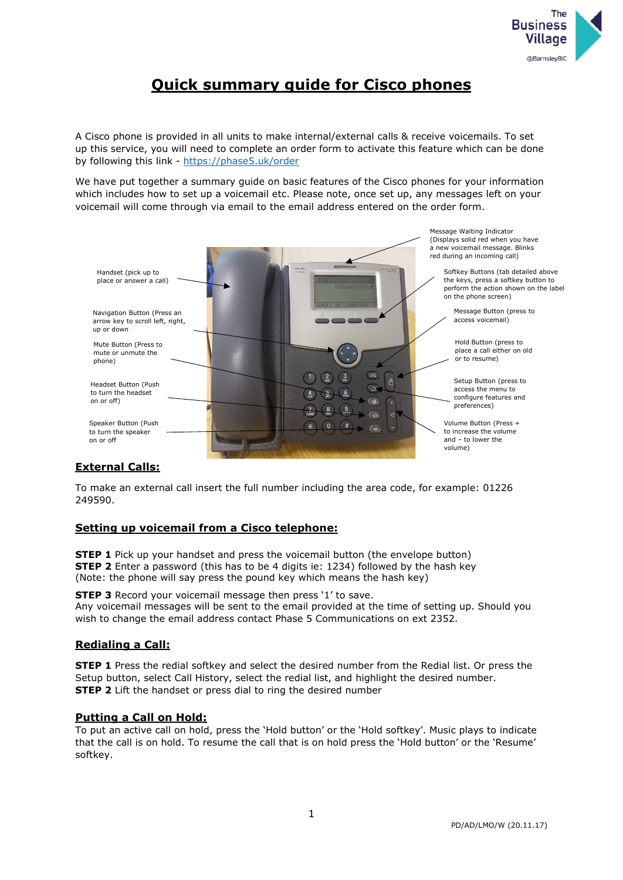

# **Quick summary guide for Cisco phones**

A Cisco phone is provided in all units to make internal/external calls & receive voicemails. To set up this service, you will need to complete an order form to activate this feature which can be done by following this link -<https://phase5.uk/order>

We have put together a summary guide on basic features of the Cisco phones for your information which includes how to set up a voicemail etc. Please note, once set up, any messages left on your voicemail will come through via email to the email address entered on the order form.



# **External Calls:**

To make an external call insert the full number including the area code, for example: 01226 249590.

# **Setting up voicemail from a Cisco telephone:**

**STEP 1** Pick up your handset and press the voicemail button (the envelope button) **STEP 2** Enter a password (this has to be 4 digits ie: 1234) followed by the hash key (Note: the phone will say press the pound key which means the hash key)

**STEP 3** Record your voicemail message then press '1' to save. Any voicemail messages will be sent to the email provided at the time of setting up. Should you wish to change the email address contact Phase 5 Communications on ext 2352.

# **Redialing a Call:**

**STEP 1** Press the redial softkey and select the desired number from the Redial list. Or press the Setup button, select Call History, select the redial list, and highlight the desired number. **STEP 2** Lift the handset or press dial to ring the desired number

# **Putting a Call on Hold:**

To put an active call on hold, press the 'Hold button' or the 'Hold softkey'. Music plays to indicate that the call is on hold. To resume the call that is on hold press the 'Hold button' or the 'Resume' softkey.